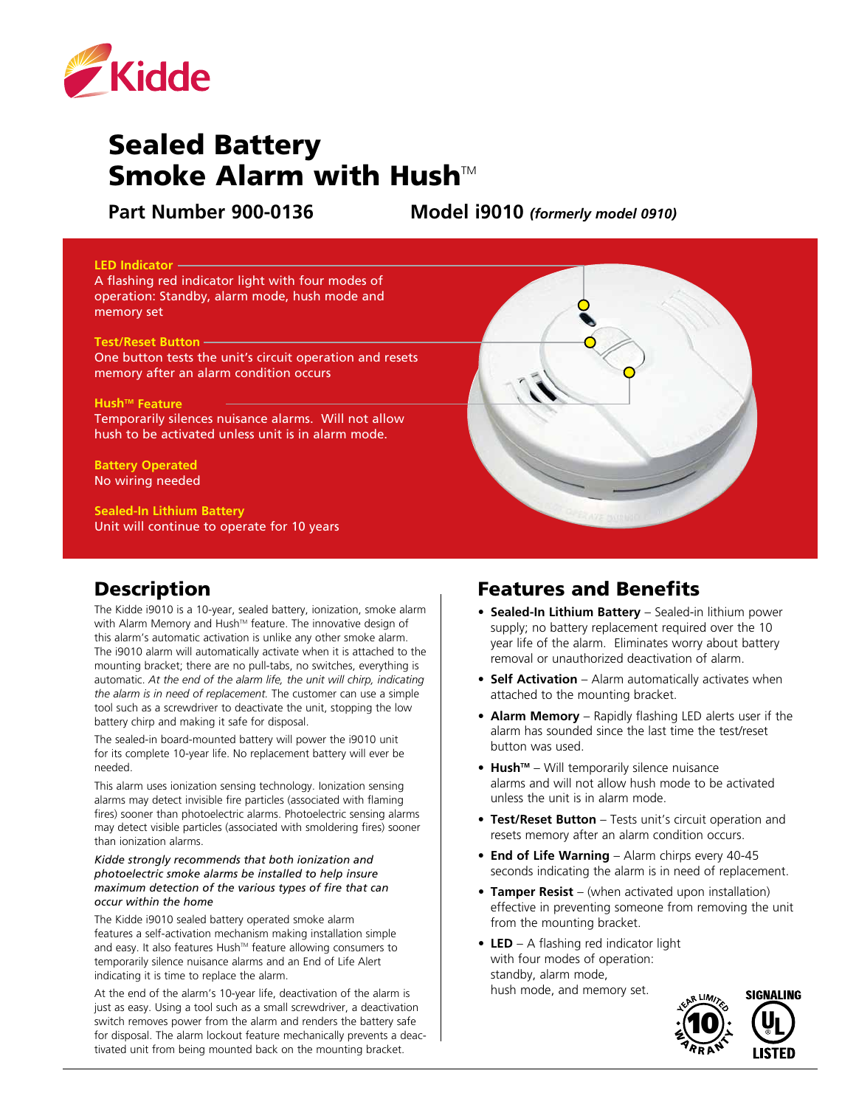

# Sealed Battery Smoke Alarm with Hush $M$

**Part Number 900-0136 Model i9010** *(formerly model 0910)*

#### **LED Indicator**

A flashing red indicator light with four modes of operation: Standby, alarm mode, hush mode and memory set

#### **Test/Reset Button**

One button tests the unit's circuit operation and resets memory after an alarm condition occurs

#### **Hush<sup>™</sup> Feature**

Temporarily silences nuisance alarms. Will not allow hush to be activated unless unit is in alarm mode.

#### **Battery Operated** No wiring needed

**Sealed-In Lithium Battery** Unit will continue to operate for 10 years

## Description

The Kidde i9010 is a 10-year, sealed battery, ionization, smoke alarm with Alarm Memory and Hush™ feature. The innovative design of this alarm's automatic activation is unlike any other smoke alarm. The i9010 alarm will automatically activate when it is attached to the mounting bracket; there are no pull-tabs, no switches, everything is automatic. *At the end of the alarm life, the unit will chirp, indicating the alarm is in need of replacement.* The customer can use a simple tool such as a screwdriver to deactivate the unit, stopping the low battery chirp and making it safe for disposal.

The sealed-in board-mounted battery will power the i9010 unit for its complete 10-year life. No replacement battery will ever be needed.

This alarm uses ionization sensing technology. Ionization sensing alarms may detect invisible fire particles (associated with flaming fires) sooner than photoelectric alarms. Photoelectric sensing alarms may detect visible particles (associated with smoldering fires) sooner than ionization alarms.

#### *Kidde strongly recommends that both ionization and photoelectric smoke alarms be installed to help insure maximum detection of the various types of fire that can occur within the home*

The Kidde i9010 sealed battery operated smoke alarm features a self-activation mechanism making installation simple and easy. It also features Hush™ feature allowing consumers to temporarily silence nuisance alarms and an End of Life Alert indicating it is time to replace the alarm.

At the end of the alarm's 10-year life, deactivation of the alarm is just as easy. Using a tool such as a small screwdriver, a deactivation switch removes power from the alarm and renders the battery safe for disposal. The alarm lockout feature mechanically prevents a deactivated unit from being mounted back on the mounting bracket.

### Features and Benefits

- **• Sealed-In Lithium Battery** Sealed-in lithium power supply; no battery replacement required over the 10 year life of the alarm. Eliminates worry about battery removal or unauthorized deactivation of alarm.
- **• Self Activation** Alarm automatically activates when attached to the mounting bracket.
- **• Alarm Memory** Rapidly flashing LED alerts user if the alarm has sounded since the last time the test/reset button was used.
- **• HushTM** Will temporarily silence nuisance alarms and will not allow hush mode to be activated unless the unit is in alarm mode.
- **• Test/Reset Button** Tests unit's circuit operation and resets memory after an alarm condition occurs.
- **• End of Life Warning** Alarm chirps every 40-45 seconds indicating the alarm is in need of replacement.
- **• Tamper Resist** (when activated upon installation) effective in preventing someone from removing the unit from the mounting bracket.
- **LED** A flashing red indicator light with four modes of operation: standby, alarm mode, hush mode, and memory set.